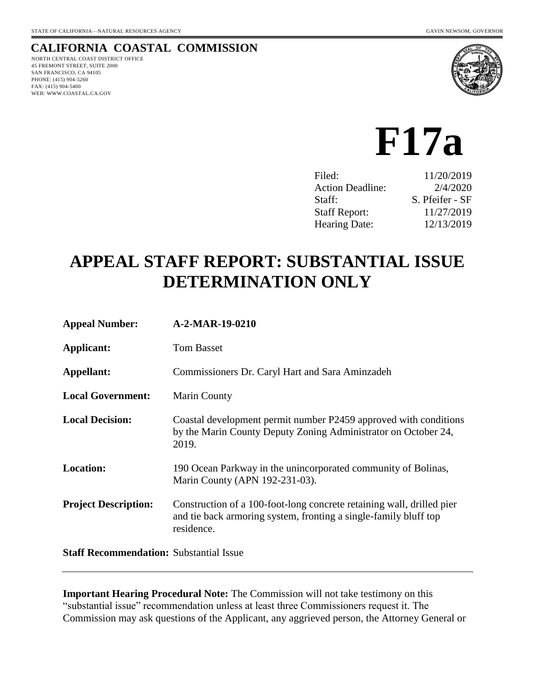## **CALIFORNIA COASTAL COMMISSION**

NORTH CENTRAL COAST DISTRICT OFFICE 45 FREMONT STREET, SUITE 2000 SAN FRANCISCO, CA 94105 PHONE: (415) 904-5260 FAX: (415) 904-5400 WEB: WWW.COASTAL.CA.GOV



# **F17a**

| Filed:                  | 11/20/2019      |
|-------------------------|-----------------|
| <b>Action Deadline:</b> | 2/4/2020        |
| Staff:                  | S. Pfeifer - SF |
| <b>Staff Report:</b>    | 11/27/2019      |
| <b>Hearing Date:</b>    | 12/13/2019      |

# **APPEAL STAFF REPORT: SUBSTANTIAL ISSUE DETERMINATION ONLY**

| <b>Appeal Number:</b>       | A-2-MAR-19-0210                                                                                                                                         |
|-----------------------------|---------------------------------------------------------------------------------------------------------------------------------------------------------|
| Applicant:                  | <b>Tom Basset</b>                                                                                                                                       |
| Appellant:                  | Commissioners Dr. Caryl Hart and Sara Aminzadeh                                                                                                         |
| <b>Local Government:</b>    | Marin County                                                                                                                                            |
| <b>Local Decision:</b>      | Coastal development permit number P2459 approved with conditions<br>by the Marin County Deputy Zoning Administrator on October 24,<br>2019.             |
| <b>Location:</b>            | 190 Ocean Parkway in the unincorporated community of Bolinas,<br>Marin County (APN 192-231-03).                                                         |
| <b>Project Description:</b> | Construction of a 100-foot-long concrete retaining wall, drilled pier<br>and tie back armoring system, fronting a single-family bluff top<br>residence. |
|                             |                                                                                                                                                         |

**Staff Recommendation:** Substantial Issue

**Important Hearing Procedural Note:** The Commission will not take testimony on this "substantial issue" recommendation unless at least three Commissioners request it. The Commission may ask questions of the Applicant, any aggrieved person, the Attorney General or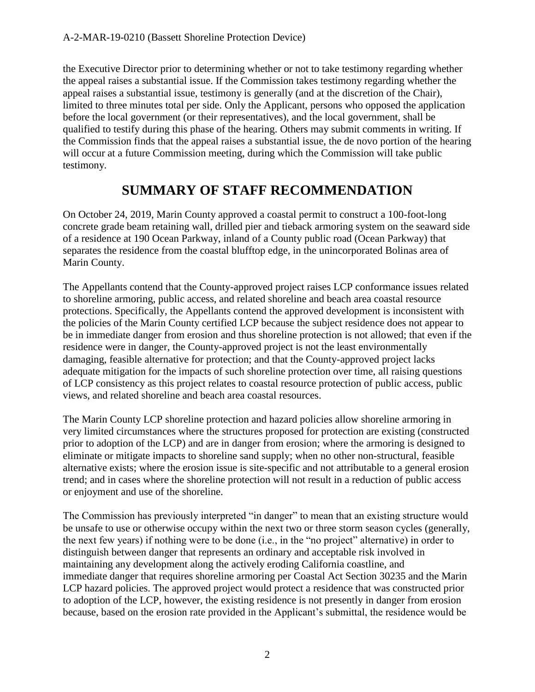the Executive Director prior to determining whether or not to take testimony regarding whether the appeal raises a substantial issue. If the Commission takes testimony regarding whether the appeal raises a substantial issue, testimony is generally (and at the discretion of the Chair), limited to three minutes total per side. Only the Applicant, persons who opposed the application before the local government (or their representatives), and the local government, shall be qualified to testify during this phase of the hearing. Others may submit comments in writing. If the Commission finds that the appeal raises a substantial issue, the de novo portion of the hearing will occur at a future Commission meeting, during which the Commission will take public testimony.

# **SUMMARY OF STAFF RECOMMENDATION**

On October 24, 2019, Marin County approved a coastal permit to construct a 100-foot-long concrete grade beam retaining wall, drilled pier and tieback armoring system on the seaward side of a residence at 190 Ocean Parkway, inland of a County public road (Ocean Parkway) that separates the residence from the coastal blufftop edge, in the unincorporated Bolinas area of Marin County.

The Appellants contend that the County-approved project raises LCP conformance issues related to shoreline armoring, public access, and related shoreline and beach area coastal resource protections. Specifically, the Appellants contend the approved development is inconsistent with the policies of the Marin County certified LCP because the subject residence does not appear to be in immediate danger from erosion and thus shoreline protection is not allowed; that even if the residence were in danger, the County-approved project is not the least environmentally damaging, feasible alternative for protection; and that the County-approved project lacks adequate mitigation for the impacts of such shoreline protection over time, all raising questions of LCP consistency as this project relates to coastal resource protection of public access, public views, and related shoreline and beach area coastal resources.

The Marin County LCP shoreline protection and hazard policies allow shoreline armoring in very limited circumstances where the structures proposed for protection are existing (constructed prior to adoption of the LCP) and are in danger from erosion; where the armoring is designed to eliminate or mitigate impacts to shoreline sand supply; when no other non-structural, feasible alternative exists; where the erosion issue is site-specific and not attributable to a general erosion trend; and in cases where the shoreline protection will not result in a reduction of public access or enjoyment and use of the shoreline.

The Commission has previously interpreted "in danger" to mean that an existing structure would be unsafe to use or otherwise occupy within the next two or three storm season cycles (generally, the next few years) if nothing were to be done (i.e., in the "no project" alternative) in order to distinguish between danger that represents an ordinary and acceptable risk involved in maintaining any development along the actively eroding California coastline, and immediate danger that requires shoreline armoring per Coastal Act Section 30235 and the Marin LCP hazard policies. The approved project would protect a residence that was constructed prior to adoption of the LCP, however, the existing residence is not presently in danger from erosion because, based on the erosion rate provided in the Applicant's submittal, the residence would be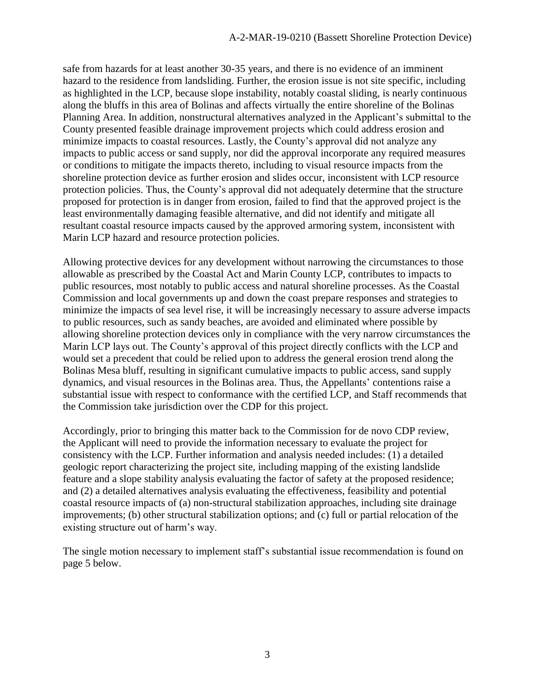safe from hazards for at least another 30-35 years, and there is no evidence of an imminent hazard to the residence from landsliding. Further, the erosion issue is not site specific, including as highlighted in the LCP, because slope instability, notably coastal sliding, is nearly continuous along the bluffs in this area of Bolinas and affects virtually the entire shoreline of the Bolinas Planning Area. In addition, nonstructural alternatives analyzed in the Applicant's submittal to the County presented feasible drainage improvement projects which could address erosion and minimize impacts to coastal resources. Lastly, the County's approval did not analyze any impacts to public access or sand supply, nor did the approval incorporate any required measures or conditions to mitigate the impacts thereto, including to visual resource impacts from the shoreline protection device as further erosion and slides occur, inconsistent with LCP resource protection policies. Thus, the County's approval did not adequately determine that the structure proposed for protection is in danger from erosion, failed to find that the approved project is the least environmentally damaging feasible alternative, and did not identify and mitigate all resultant coastal resource impacts caused by the approved armoring system, inconsistent with Marin LCP hazard and resource protection policies.

Allowing protective devices for any development without narrowing the circumstances to those allowable as prescribed by the Coastal Act and Marin County LCP, contributes to impacts to public resources, most notably to public access and natural shoreline processes. As the Coastal Commission and local governments up and down the coast prepare responses and strategies to minimize the impacts of sea level rise, it will be increasingly necessary to assure adverse impacts to public resources, such as sandy beaches, are avoided and eliminated where possible by allowing shoreline protection devices only in compliance with the very narrow circumstances the Marin LCP lays out. The County's approval of this project directly conflicts with the LCP and would set a precedent that could be relied upon to address the general erosion trend along the Bolinas Mesa bluff, resulting in significant cumulative impacts to public access, sand supply dynamics, and visual resources in the Bolinas area. Thus, the Appellants' contentions raise a substantial issue with respect to conformance with the certified LCP, and Staff recommends that the Commission take jurisdiction over the CDP for this project.

Accordingly, prior to bringing this matter back to the Commission for de novo CDP review, the Applicant will need to provide the information necessary to evaluate the project for consistency with the LCP. Further information and analysis needed includes: (1) a detailed geologic report characterizing the project site, including mapping of the existing landslide feature and a slope stability analysis evaluating the factor of safety at the proposed residence; and (2) a detailed alternatives analysis evaluating the effectiveness, feasibility and potential coastal resource impacts of (a) non-structural stabilization approaches, including site drainage improvements; (b) other structural stabilization options; and (c) full or partial relocation of the existing structure out of harm's way.

The single motion necessary to implement staff's substantial issue recommendation is found on page 5 below.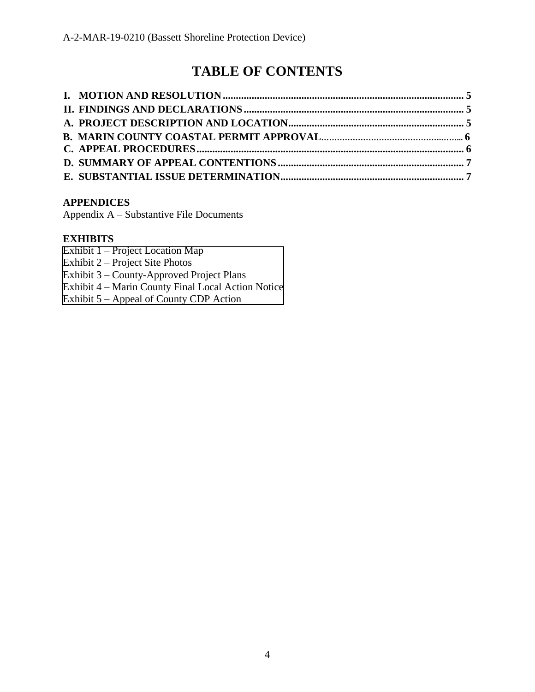# **TABLE OF CONTENTS**

#### **APPENDICES**

Appendix A – Substantive File Documents

#### **EXHIBITS**

Exhibit 1 – Project Location Map

Exhibit 2 – Project Site Photos

Exhibit 3 – County-Approved Project Plans

Exhibit 4 – [Marin County Final Local Action Notice](https://documents.coastal.ca.gov/reports/2019/12/f17a/f17a-12-2019-exhibits.pdf)

Exhibit 5 – Appeal of County CDP Action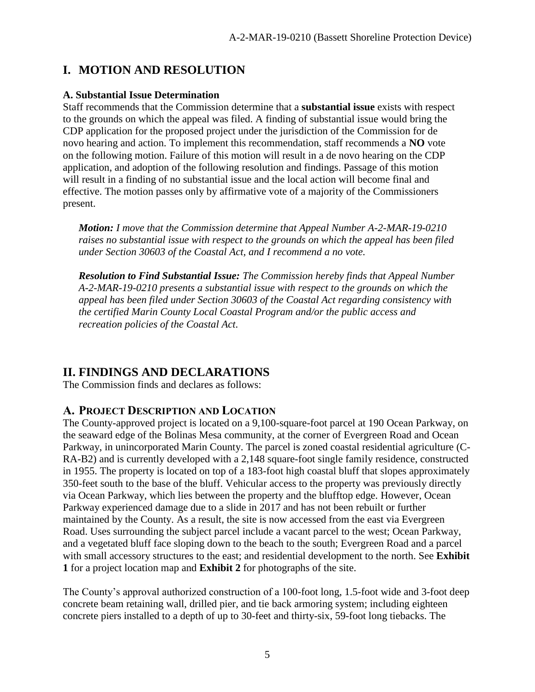# **I. MOTION AND RESOLUTION**

#### **A. Substantial Issue Determination**

Staff recommends that the Commission determine that a **substantial issue** exists with respect to the grounds on which the appeal was filed. A finding of substantial issue would bring the CDP application for the proposed project under the jurisdiction of the Commission for de novo hearing and action. To implement this recommendation, staff recommends a **NO** vote on the following motion. Failure of this motion will result in a de novo hearing on the CDP application, and adoption of the following resolution and findings. Passage of this motion will result in a finding of no substantial issue and the local action will become final and effective. The motion passes only by affirmative vote of a majority of the Commissioners present.

*Motion: I move that the Commission determine that Appeal Number A-2-MAR-19-0210 raises no substantial issue with respect to the grounds on which the appeal has been filed under Section 30603 of the Coastal Act, and I recommend a no vote.* 

*Resolution to Find Substantial Issue: The Commission hereby finds that Appeal Number A-2-MAR-19-0210 presents a substantial issue with respect to the grounds on which the appeal has been filed under Section 30603 of the Coastal Act regarding consistency with the certified Marin County Local Coastal Program and/or the public access and recreation policies of the Coastal Act.*

# **II. FINDINGS AND DECLARATIONS**

The Commission finds and declares as follows:

### **A. PROJECT DESCRIPTION AND LOCATION**

The County-approved project is located on a 9,100-square-foot parcel at 190 Ocean Parkway, on the seaward edge of the Bolinas Mesa community, at the corner of Evergreen Road and Ocean Parkway, in unincorporated Marin County. The parcel is zoned coastal residential agriculture (C-RA-B2) and is currently developed with a 2,148 square-foot single family residence, constructed in 1955. The property is located on top of a 183-foot high coastal bluff that slopes approximately 350-feet south to the base of the bluff. Vehicular access to the property was previously directly via Ocean Parkway, which lies between the property and the blufftop edge. However, Ocean Parkway experienced damage due to a slide in 2017 and has not been rebuilt or further maintained by the County. As a result, the site is now accessed from the east via Evergreen Road. Uses surrounding the subject parcel include a vacant parcel to the west; Ocean Parkway, and a vegetated bluff face sloping down to the beach to the south; Evergreen Road and a parcel with small accessory structures to the east; and residential development to the north. See **Exhibit 1** for a project location map and **Exhibit 2** for photographs of the site.

The County's approval authorized construction of a 100-foot long, 1.5-foot wide and 3-foot deep concrete beam retaining wall, drilled pier, and tie back armoring system; including eighteen concrete piers installed to a depth of up to 30-feet and thirty-six, 59-foot long tiebacks. The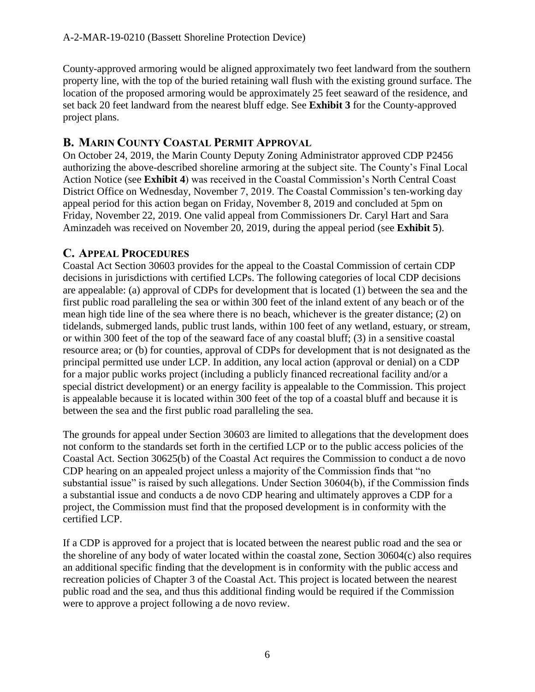County-approved armoring would be aligned approximately two feet landward from the southern property line, with the top of the buried retaining wall flush with the existing ground surface. The location of the proposed armoring would be approximately 25 feet seaward of the residence, and set back 20 feet landward from the nearest bluff edge. See **Exhibit 3** for the County-approved project plans.

#### **B. MARIN COUNTY COASTAL PERMIT APPROVAL**

On October 24, 2019, the Marin County Deputy Zoning Administrator approved CDP P2456 authorizing the above-described shoreline armoring at the subject site. The County's Final Local Action Notice (see **Exhibit 4**) was received in the Coastal Commission's North Central Coast District Office on Wednesday, November 7, 2019. The Coastal Commission's ten-working day appeal period for this action began on Friday, November 8, 2019 and concluded at 5pm on Friday, November 22, 2019. One valid appeal from Commissioners Dr. Caryl Hart and Sara Aminzadeh was received on November 20, 2019, during the appeal period (see **Exhibit 5**).

#### **C. APPEAL PROCEDURES**

Coastal Act Section 30603 provides for the appeal to the Coastal Commission of certain CDP decisions in jurisdictions with certified LCPs. The following categories of local CDP decisions are appealable: (a) approval of CDPs for development that is located (1) between the sea and the first public road paralleling the sea or within 300 feet of the inland extent of any beach or of the mean high tide line of the sea where there is no beach, whichever is the greater distance; (2) on tidelands, submerged lands, public trust lands, within 100 feet of any wetland, estuary, or stream, or within 300 feet of the top of the seaward face of any coastal bluff; (3) in a sensitive coastal resource area; or (b) for counties, approval of CDPs for development that is not designated as the principal permitted use under LCP. In addition, any local action (approval or denial) on a CDP for a major public works project (including a publicly financed recreational facility and/or a special district development) or an energy facility is appealable to the Commission. This project is appealable because it is located within 300 feet of the top of a coastal bluff and because it is between the sea and the first public road paralleling the sea.

The grounds for appeal under Section 30603 are limited to allegations that the development does not conform to the standards set forth in the certified LCP or to the public access policies of the Coastal Act. Section 30625(b) of the Coastal Act requires the Commission to conduct a de novo CDP hearing on an appealed project unless a majority of the Commission finds that "no substantial issue" is raised by such allegations. Under Section 30604(b), if the Commission finds a substantial issue and conducts a de novo CDP hearing and ultimately approves a CDP for a project, the Commission must find that the proposed development is in conformity with the certified LCP.

If a CDP is approved for a project that is located between the nearest public road and the sea or the shoreline of any body of water located within the coastal zone, Section 30604(c) also requires an additional specific finding that the development is in conformity with the public access and recreation policies of Chapter 3 of the Coastal Act. This project is located between the nearest public road and the sea, and thus this additional finding would be required if the Commission were to approve a project following a de novo review.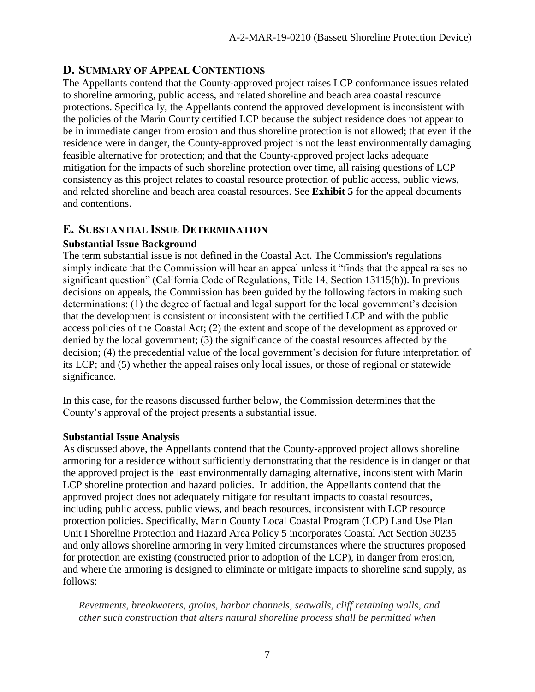#### **D. SUMMARY OF APPEAL CONTENTIONS**

The Appellants contend that the County-approved project raises LCP conformance issues related to shoreline armoring, public access, and related shoreline and beach area coastal resource protections. Specifically, the Appellants contend the approved development is inconsistent with the policies of the Marin County certified LCP because the subject residence does not appear to be in immediate danger from erosion and thus shoreline protection is not allowed; that even if the residence were in danger, the County-approved project is not the least environmentally damaging feasible alternative for protection; and that the County-approved project lacks adequate mitigation for the impacts of such shoreline protection over time, all raising questions of LCP consistency as this project relates to coastal resource protection of public access, public views, and related shoreline and beach area coastal resources. See **Exhibit 5** for the appeal documents and contentions.

#### **E. SUBSTANTIAL ISSUE DETERMINATION**

#### **Substantial Issue Background**

The term substantial issue is not defined in the Coastal Act. The Commission's regulations simply indicate that the Commission will hear an appeal unless it "finds that the appeal raises no significant question" (California Code of Regulations, Title 14, Section 13115(b)). In previous decisions on appeals, the Commission has been guided by the following factors in making such determinations: (1) the degree of factual and legal support for the local government's decision that the development is consistent or inconsistent with the certified LCP and with the public access policies of the Coastal Act; (2) the extent and scope of the development as approved or denied by the local government; (3) the significance of the coastal resources affected by the decision; (4) the precedential value of the local government's decision for future interpretation of its LCP; and (5) whether the appeal raises only local issues, or those of regional or statewide significance.

In this case, for the reasons discussed further below, the Commission determines that the County's approval of the project presents a substantial issue.

#### **Substantial Issue Analysis**

As discussed above, the Appellants contend that the County-approved project allows shoreline armoring for a residence without sufficiently demonstrating that the residence is in danger or that the approved project is the least environmentally damaging alternative, inconsistent with Marin LCP shoreline protection and hazard policies. In addition, the Appellants contend that the approved project does not adequately mitigate for resultant impacts to coastal resources, including public access, public views, and beach resources, inconsistent with LCP resource protection policies. Specifically, Marin County Local Coastal Program (LCP) Land Use Plan Unit I Shoreline Protection and Hazard Area Policy 5 incorporates Coastal Act Section 30235 and only allows shoreline armoring in very limited circumstances where the structures proposed for protection are existing (constructed prior to adoption of the LCP), in danger from erosion, and where the armoring is designed to eliminate or mitigate impacts to shoreline sand supply, as follows:

*Revetments, breakwaters, groins, harbor channels, seawalls, cliff retaining walls, and other such construction that alters natural shoreline process shall be permitted when*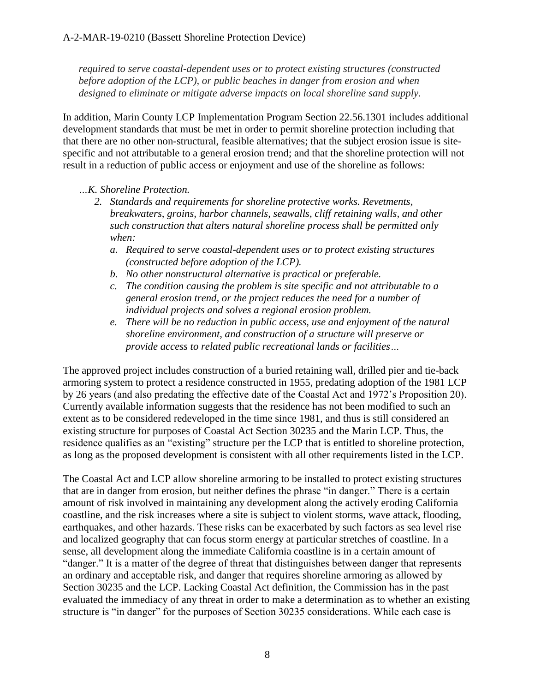*required to serve coastal-dependent uses or to protect existing structures (constructed before adoption of the LCP), or public beaches in danger from erosion and when designed to eliminate or mitigate adverse impacts on local shoreline sand supply.*

In addition, Marin County LCP Implementation Program Section 22.56.1301 includes additional development standards that must be met in order to permit shoreline protection including that that there are no other non-structural, feasible alternatives; that the subject erosion issue is sitespecific and not attributable to a general erosion trend; and that the shoreline protection will not result in a reduction of public access or enjoyment and use of the shoreline as follows:

#### *…K. Shoreline Protection.*

- *2. Standards and requirements for shoreline protective works. Revetments, breakwaters, groins, harbor channels, seawalls, cliff retaining walls, and other such construction that alters natural shoreline process shall be permitted only when:*
	- *a. Required to serve coastal-dependent uses or to protect existing structures (constructed before adoption of the LCP).*
	- *b. No other nonstructural alternative is practical or preferable.*
	- *c. The condition causing the problem is site specific and not attributable to a general erosion trend, or the project reduces the need for a number of individual projects and solves a regional erosion problem.*
	- *e. There will be no reduction in public access, use and enjoyment of the natural shoreline environment, and construction of a structure will preserve or provide access to related public recreational lands or facilities…*

The approved project includes construction of a buried retaining wall, drilled pier and tie-back armoring system to protect a residence constructed in 1955, predating adoption of the 1981 LCP by 26 years (and also predating the effective date of the Coastal Act and 1972's Proposition 20). Currently available information suggests that the residence has not been modified to such an extent as to be considered redeveloped in the time since 1981, and thus is still considered an existing structure for purposes of Coastal Act Section 30235 and the Marin LCP. Thus, the residence qualifies as an "existing" structure per the LCP that is entitled to shoreline protection, as long as the proposed development is consistent with all other requirements listed in the LCP.

The Coastal Act and LCP allow shoreline armoring to be installed to protect existing structures that are in danger from erosion, but neither defines the phrase "in danger." There is a certain amount of risk involved in maintaining any development along the actively eroding California coastline, and the risk increases where a site is subject to violent storms, wave attack, flooding, earthquakes, and other hazards. These risks can be exacerbated by such factors as sea level rise and localized geography that can focus storm energy at particular stretches of coastline. In a sense, all development along the immediate California coastline is in a certain amount of "danger." It is a matter of the degree of threat that distinguishes between danger that represents an ordinary and acceptable risk, and danger that requires shoreline armoring as allowed by Section 30235 and the LCP. Lacking Coastal Act definition, the Commission has in the past evaluated the immediacy of any threat in order to make a determination as to whether an existing structure is "in danger" for the purposes of Section 30235 considerations. While each case is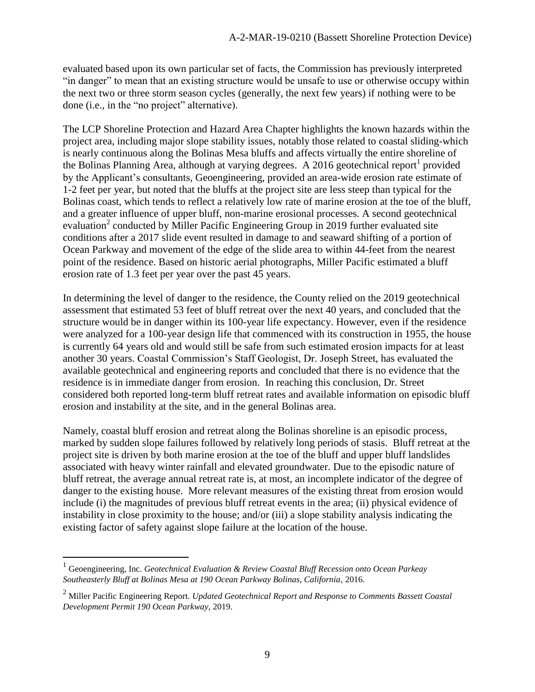evaluated based upon its own particular set of facts, the Commission has previously interpreted "in danger" to mean that an existing structure would be unsafe to use or otherwise occupy within the next two or three storm season cycles (generally, the next few years) if nothing were to be done (i.e., in the "no project" alternative).

The LCP Shoreline Protection and Hazard Area Chapter highlights the known hazards within the project area, including major slope stability issues, notably those related to coastal sliding-which is nearly continuous along the Bolinas Mesa bluffs and affects virtually the entire shoreline of the Bolinas Planning Area, although at varying degrees. A 2016 geotechnical report<sup>1</sup> provided by the Applicant's consultants, Geoengineering, provided an area-wide erosion rate estimate of 1-2 feet per year, but noted that the bluffs at the project site are less steep than typical for the Bolinas coast, which tends to reflect a relatively low rate of marine erosion at the toe of the bluff, and a greater influence of upper bluff, non-marine erosional processes. A second geotechnical evaluation<sup>2</sup> conducted by Miller Pacific Engineering Group in 2019 further evaluated site conditions after a 2017 slide event resulted in damage to and seaward shifting of a portion of Ocean Parkway and movement of the edge of the slide area to within 44-feet from the nearest point of the residence. Based on historic aerial photographs, Miller Pacific estimated a bluff erosion rate of 1.3 feet per year over the past 45 years.

In determining the level of danger to the residence, the County relied on the 2019 geotechnical assessment that estimated 53 feet of bluff retreat over the next 40 years, and concluded that the structure would be in danger within its 100-year life expectancy. However, even if the residence were analyzed for a 100-year design life that commenced with its construction in 1955, the house is currently 64 years old and would still be safe from such estimated erosion impacts for at least another 30 years. Coastal Commission's Staff Geologist, Dr. Joseph Street, has evaluated the available geotechnical and engineering reports and concluded that there is no evidence that the residence is in immediate danger from erosion. In reaching this conclusion, Dr. Street considered both reported long-term bluff retreat rates and available information on episodic bluff erosion and instability at the site, and in the general Bolinas area.

Namely, coastal bluff erosion and retreat along the Bolinas shoreline is an episodic process, marked by sudden slope failures followed by relatively long periods of stasis. Bluff retreat at the project site is driven by both marine erosion at the toe of the bluff and upper bluff landslides associated with heavy winter rainfall and elevated groundwater. Due to the episodic nature of bluff retreat, the average annual retreat rate is, at most, an incomplete indicator of the degree of danger to the existing house. More relevant measures of the existing threat from erosion would include (i) the magnitudes of previous bluff retreat events in the area; (ii) physical evidence of instability in close proximity to the house; and/or (iii) a slope stability analysis indicating the existing factor of safety against slope failure at the location of the house.

 $\overline{a}$ 

<sup>1</sup> Geoengineering, Inc. *Geotechnical Evaluation & Review Coastal Bluff Recession onto Ocean Parkeay Southeasterly Bluff at Bolinas Mesa at 190 Ocean Parkway Bolinas, California*, 2016.

<sup>2</sup> Miller Pacific Engineering Report. *Updated Geotechnical Report and Response to Comments Bassett Coastal Development Permit 190 Ocean Parkway,* 2019.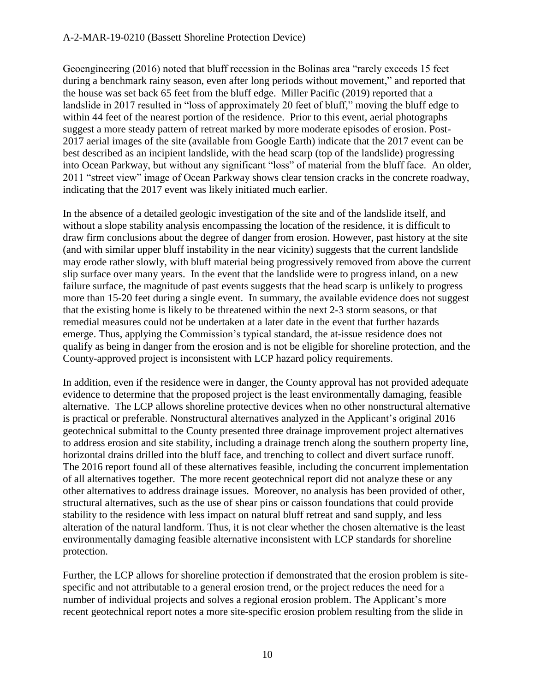Geoengineering (2016) noted that bluff recession in the Bolinas area "rarely exceeds 15 feet during a benchmark rainy season, even after long periods without movement," and reported that the house was set back 65 feet from the bluff edge. Miller Pacific (2019) reported that a landslide in 2017 resulted in "loss of approximately 20 feet of bluff," moving the bluff edge to within 44 feet of the nearest portion of the residence. Prior to this event, aerial photographs suggest a more steady pattern of retreat marked by more moderate episodes of erosion. Post-2017 aerial images of the site (available from Google Earth) indicate that the 2017 event can be best described as an incipient landslide, with the head scarp (top of the landslide) progressing into Ocean Parkway, but without any significant "loss" of material from the bluff face. An older, 2011 "street view" image of Ocean Parkway shows clear tension cracks in the concrete roadway, indicating that the 2017 event was likely initiated much earlier.

In the absence of a detailed geologic investigation of the site and of the landslide itself, and without a slope stability analysis encompassing the location of the residence, it is difficult to draw firm conclusions about the degree of danger from erosion. However, past history at the site (and with similar upper bluff instability in the near vicinity) suggests that the current landslide may erode rather slowly, with bluff material being progressively removed from above the current slip surface over many years. In the event that the landslide were to progress inland, on a new failure surface, the magnitude of past events suggests that the head scarp is unlikely to progress more than 15-20 feet during a single event. In summary, the available evidence does not suggest that the existing home is likely to be threatened within the next 2-3 storm seasons, or that remedial measures could not be undertaken at a later date in the event that further hazards emerge. Thus, applying the Commission's typical standard, the at-issue residence does not qualify as being in danger from the erosion and is not be eligible for shoreline protection, and the County-approved project is inconsistent with LCP hazard policy requirements.

In addition, even if the residence were in danger, the County approval has not provided adequate evidence to determine that the proposed project is the least environmentally damaging, feasible alternative. The LCP allows shoreline protective devices when no other nonstructural alternative is practical or preferable. Nonstructural alternatives analyzed in the Applicant's original 2016 geotechnical submittal to the County presented three drainage improvement project alternatives to address erosion and site stability, including a drainage trench along the southern property line, horizontal drains drilled into the bluff face, and trenching to collect and divert surface runoff. The 2016 report found all of these alternatives feasible, including the concurrent implementation of all alternatives together. The more recent geotechnical report did not analyze these or any other alternatives to address drainage issues. Moreover, no analysis has been provided of other, structural alternatives, such as the use of shear pins or caisson foundations that could provide stability to the residence with less impact on natural bluff retreat and sand supply, and less alteration of the natural landform. Thus, it is not clear whether the chosen alternative is the least environmentally damaging feasible alternative inconsistent with LCP standards for shoreline protection.

Further, the LCP allows for shoreline protection if demonstrated that the erosion problem is sitespecific and not attributable to a general erosion trend, or the project reduces the need for a number of individual projects and solves a regional erosion problem. The Applicant's more recent geotechnical report notes a more site-specific erosion problem resulting from the slide in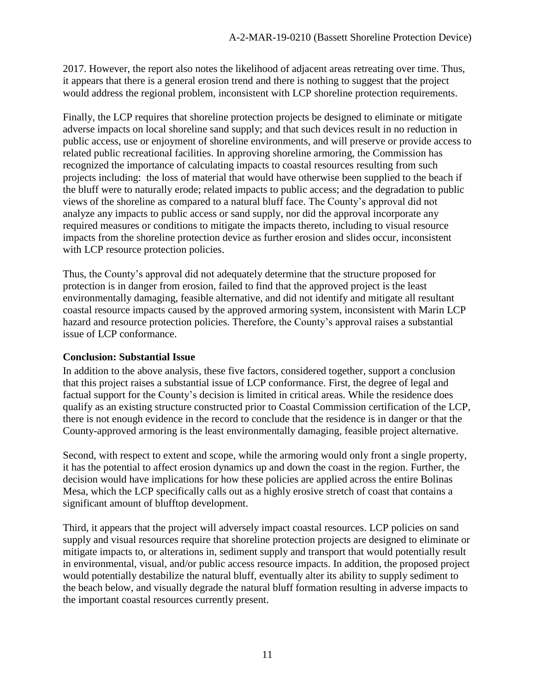2017. However, the report also notes the likelihood of adjacent areas retreating over time. Thus, it appears that there is a general erosion trend and there is nothing to suggest that the project would address the regional problem, inconsistent with LCP shoreline protection requirements.

Finally, the LCP requires that shoreline protection projects be designed to eliminate or mitigate adverse impacts on local shoreline sand supply; and that such devices result in no reduction in public access, use or enjoyment of shoreline environments, and will preserve or provide access to related public recreational facilities. In approving shoreline armoring, the Commission has recognized the importance of calculating impacts to coastal resources resulting from such projects including: the loss of material that would have otherwise been supplied to the beach if the bluff were to naturally erode; related impacts to public access; and the degradation to public views of the shoreline as compared to a natural bluff face. The County's approval did not analyze any impacts to public access or sand supply, nor did the approval incorporate any required measures or conditions to mitigate the impacts thereto, including to visual resource impacts from the shoreline protection device as further erosion and slides occur, inconsistent with LCP resource protection policies.

Thus, the County's approval did not adequately determine that the structure proposed for protection is in danger from erosion, failed to find that the approved project is the least environmentally damaging, feasible alternative, and did not identify and mitigate all resultant coastal resource impacts caused by the approved armoring system, inconsistent with Marin LCP hazard and resource protection policies. Therefore, the County's approval raises a substantial issue of LCP conformance.

#### **Conclusion: Substantial Issue**

In addition to the above analysis, these five factors, considered together, support a conclusion that this project raises a substantial issue of LCP conformance. First, the degree of legal and factual support for the County's decision is limited in critical areas. While the residence does qualify as an existing structure constructed prior to Coastal Commission certification of the LCP, there is not enough evidence in the record to conclude that the residence is in danger or that the County-approved armoring is the least environmentally damaging, feasible project alternative.

Second, with respect to extent and scope, while the armoring would only front a single property, it has the potential to affect erosion dynamics up and down the coast in the region. Further, the decision would have implications for how these policies are applied across the entire Bolinas Mesa, which the LCP specifically calls out as a highly erosive stretch of coast that contains a significant amount of blufftop development.

Third, it appears that the project will adversely impact coastal resources. LCP policies on sand supply and visual resources require that shoreline protection projects are designed to eliminate or mitigate impacts to, or alterations in, sediment supply and transport that would potentially result in environmental, visual, and/or public access resource impacts. In addition, the proposed project would potentially destabilize the natural bluff, eventually alter its ability to supply sediment to the beach below, and visually degrade the natural bluff formation resulting in adverse impacts to the important coastal resources currently present.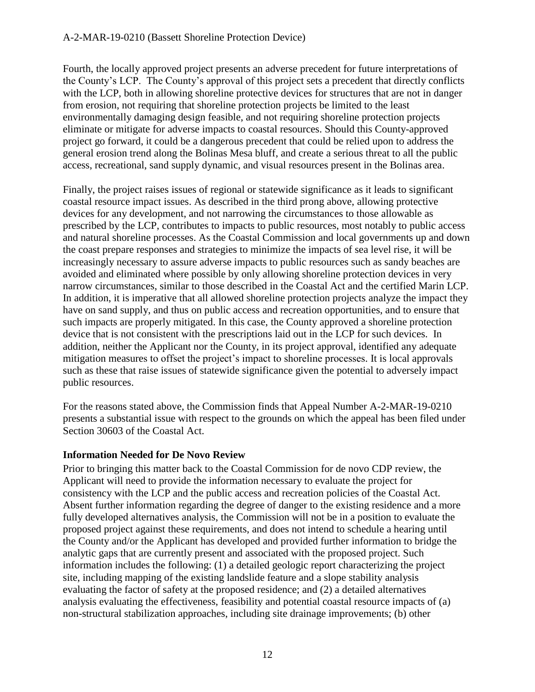Fourth, the locally approved project presents an adverse precedent for future interpretations of the County's LCP. The County's approval of this project sets a precedent that directly conflicts with the LCP, both in allowing shoreline protective devices for structures that are not in danger from erosion, not requiring that shoreline protection projects be limited to the least environmentally damaging design feasible, and not requiring shoreline protection projects eliminate or mitigate for adverse impacts to coastal resources. Should this County-approved project go forward, it could be a dangerous precedent that could be relied upon to address the general erosion trend along the Bolinas Mesa bluff, and create a serious threat to all the public access, recreational, sand supply dynamic, and visual resources present in the Bolinas area.

Finally, the project raises issues of regional or statewide significance as it leads to significant coastal resource impact issues. As described in the third prong above, allowing protective devices for any development, and not narrowing the circumstances to those allowable as prescribed by the LCP, contributes to impacts to public resources, most notably to public access and natural shoreline processes. As the Coastal Commission and local governments up and down the coast prepare responses and strategies to minimize the impacts of sea level rise, it will be increasingly necessary to assure adverse impacts to public resources such as sandy beaches are avoided and eliminated where possible by only allowing shoreline protection devices in very narrow circumstances, similar to those described in the Coastal Act and the certified Marin LCP. In addition, it is imperative that all allowed shoreline protection projects analyze the impact they have on sand supply, and thus on public access and recreation opportunities, and to ensure that such impacts are properly mitigated. In this case, the County approved a shoreline protection device that is not consistent with the prescriptions laid out in the LCP for such devices. In addition, neither the Applicant nor the County, in its project approval, identified any adequate mitigation measures to offset the project's impact to shoreline processes. It is local approvals such as these that raise issues of statewide significance given the potential to adversely impact public resources.

For the reasons stated above, the Commission finds that Appeal Number A-2-MAR-19-0210 presents a substantial issue with respect to the grounds on which the appeal has been filed under Section 30603 of the Coastal Act.

#### **Information Needed for De Novo Review**

Prior to bringing this matter back to the Coastal Commission for de novo CDP review, the Applicant will need to provide the information necessary to evaluate the project for consistency with the LCP and the public access and recreation policies of the Coastal Act. Absent further information regarding the degree of danger to the existing residence and a more fully developed alternatives analysis, the Commission will not be in a position to evaluate the proposed project against these requirements, and does not intend to schedule a hearing until the County and/or the Applicant has developed and provided further information to bridge the analytic gaps that are currently present and associated with the proposed project. Such information includes the following: (1) a detailed geologic report characterizing the project site, including mapping of the existing landslide feature and a slope stability analysis evaluating the factor of safety at the proposed residence; and (2) a detailed alternatives analysis evaluating the effectiveness, feasibility and potential coastal resource impacts of (a) non-structural stabilization approaches, including site drainage improvements; (b) other